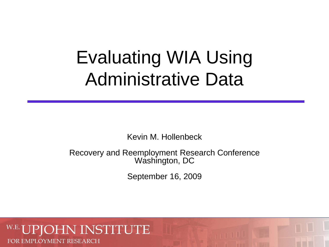# Evaluating WIA Using Administrative Data

Kevin M. Hollenbeck

Recovery and Reemployment Research Conference Washington, DC

September 16, 2009

## **NSTITUTE** FOR EMPLOYMENT RESEARCH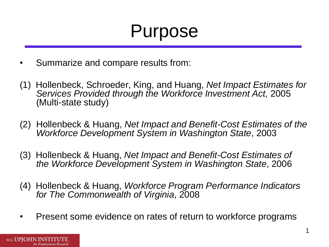# Purpose

- • Summarize and compare results from:
- (1) Hollenbeck, Schroeder, King, and Huang, *Net Impact Estimates for Services Provided through the Workforce Investment Act,* 2005 (Multi-state study)
- (2) Hollenbeck & Huang, *Net Impact and Benefit-Cost Estimates of the Workforce Development System in Washington State*, 2003
- (3) Hollenbeck & Huang, *Net Impact and Benefit-Cost Estimates of the Workforce Development System in Washington State*, 2006
- (4) Hollenbeck & Huang, *Workforce Program Performance Indicators for The Commonwealth of Virginia*, 2008
- Present some evidence on rates of return to workforce programs

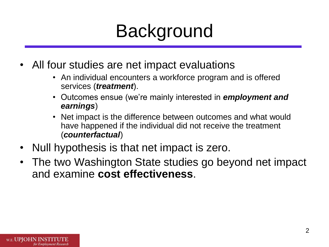# Background

- All four studies are net impact evaluations
	- An individual encounters a workforce program and is offered services (*treatment*).
	- • Outcomes ensue (we're mainly interested in *employment and earnings*)
	- Net impact is the difference between outcomes and what would have happened if the individual did not receive the treatment (*counterfactual*)
- Null hypothesis is that net impact is zero.
- The two Washington State studies go beyond net impact and examine **cost effectiveness**.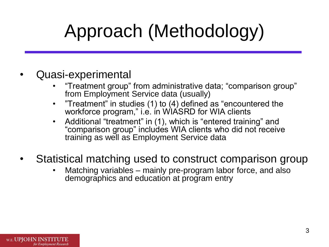# Approach (Methodology)

- Quasi-experimental
	- "Treatment group" from administrative data; "comparison group" from Employment Service data (usually)
	- "Treatment" in studies  $(1)$  to  $(4)$  defined as "encountered the workforce program," i.e. in WIASRD for WIA clients
	- Additional "treatment" in (1), which is "entered training" and "comparison group" includes WIA clients who did not receive training as well as Employment Service data
- Statistical matching used to construct comparison group
	- Matching variables mainly pre-program labor force, and also demographics and education at program entry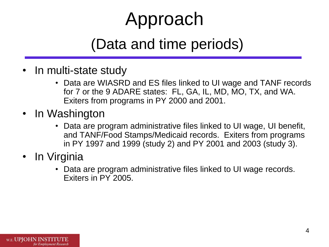# Approach

## (Data and time periods)

- In multi-state study
	- Data are WIASRD and ES files linked to UI wage and TANF records for 7 or the 9 ADARE states: FL, GA, IL, MD, MO, TX, and WA. Exiters from programs in PY 2000 and 2001.
- In Washington
	- in PY 1997 and 1999 (study 2) and PY 2001 and 2003 (study 3). • Data are program administrative files linked to UI wage, UI benefit, and TANF/Food Stamps/Medicaid records. Exiters from programs
- In Virginia
	- Data are program administrative files linked to UI wage records. Exiters in PY 2005.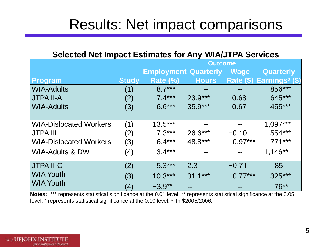## Results: Net impact comparisons

### **Selected Net Impact Estimates for Any WIA/JTPA Services**

| <b>Selected Net Impact Estimates for Any WIA/JTPA Services</b> |                   |                             |              |             |                                      |  |
|----------------------------------------------------------------|-------------------|-----------------------------|--------------|-------------|--------------------------------------|--|
|                                                                |                   | <b>Outcome</b>              |              |             |                                      |  |
|                                                                |                   | <b>Employment Quarterly</b> |              | <b>Wage</b> | Quarterly                            |  |
| Program                                                        | <b>Study</b>      | Rate (%)                    | <b>Hours</b> |             | Rate (\$) Earnings <sup>a</sup> (\$) |  |
| WIA-Adults                                                     | (1)               | $8.7***$                    | --           | --          | 856***                               |  |
| JTPA II-A                                                      | (2)               | $7.4***$                    | $23.9***$    | 0.68        | 645***                               |  |
| <b>WIA-Adults</b>                                              | (3)               | $6.6***$                    | $35.9***$    | 0.67        | 455***                               |  |
|                                                                |                   |                             |              |             |                                      |  |
| <b>WIA-Dislocated Workers</b>                                  | (1)               | $13.5***$                   |              |             | $1,097***$                           |  |
| <b>JTPA III</b>                                                | (2)               | $7.3***$                    | 26.6***      | $-0.10$     | 554***                               |  |
| <b>WIA-Dislocated Workers</b>                                  | (3)               | $6.4***$                    | 48.8***      | $0.97***$   | $771***$                             |  |
| <b>WIA-Adults &amp; DW</b>                                     | (4)               | $3.4***$                    |              |             | 1,146**                              |  |
| JTPA II-C                                                      | (2)               | $5.3***$                    | 2.3          | $-0.71$     | $-85$                                |  |
| <b>WIA Youth</b>                                               | (3)               | $10.3***$                   | $31.1***$    | $0.77***$   | 325***                               |  |
| <b>WIA Youth</b>                                               | $\left( 4\right)$ | $-3.9**$                    |              |             | $76**$                               |  |

level; \* represents statistical significance at the 0.10 level. <sup>a</sup> In \$2005/2006. **Notes:** \*\*\* represents statistical significance at the 0.01 level; \*\* represents statistical significance at the 0.05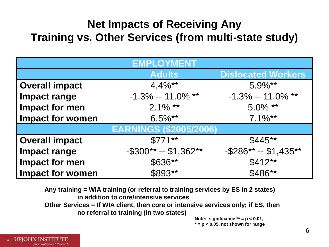## **Net Impacts of Receiving Any Training vs. Other Services (from multi-state study)**

| <b>EMPLOYMENT</b>             |                          |                           |  |  |  |  |
|-------------------------------|--------------------------|---------------------------|--|--|--|--|
|                               | <b>Adults</b>            | <b>Dislocated Workers</b> |  |  |  |  |
| <b>Overall impact</b>         | $4.4\%**$                | $5.9\%**$                 |  |  |  |  |
| <b>Impact range</b>           | $-1.3\% - 11.0\%$ **     | $-1.3\% - 11.0\%$ **      |  |  |  |  |
| <b>Impact for men</b>         | $2.1\%$ **               | $5.0\%$ **                |  |  |  |  |
| <b>Impact for women</b>       | $6.5\%**$                | $7.1\%**$                 |  |  |  |  |
| <b>EARNINGS (\$2005/2006)</b> |                          |                           |  |  |  |  |
| <b>Overall impact</b>         | $$771**$                 | $$445**$                  |  |  |  |  |
| <b>Impact range</b>           | $-$ \$300** -- \$1,362** | $-$ \$286** -- \$1,435**  |  |  |  |  |
| <b>Impact for men</b>         | \$636**                  | $$412**$                  |  |  |  |  |
| <b>Impact for women</b>       | \$893**                  | \$486**                   |  |  |  |  |

 **Any training = WIA training (or referral to training services by ES in 2 states) in addition to core/intensive services Other Services = If WIA client, then core or intensive services only; if ES, then no referral to training (in two states)** 

**Note: significance \*\* = p < 0.01, \* = p < 0.05, not shown for range**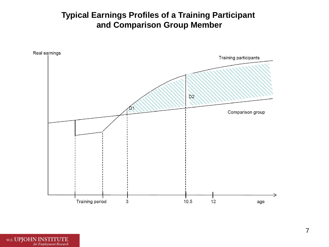## **Typical Earnings Profiles of a Training Participant and Comparison Group Member**

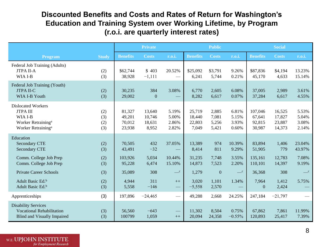### **Discounted Benefits and Costs and Rates of Return for Washington's Education and Training System over Working Lifetime, by Program (r.o.i. are quarterly interest rates)**

|                                                                                                                            |                          |                                      | <b>Private</b>                      |                                  |                                     | <b>Public</b>                    |                                  |                                       | <b>Social</b>                        |                                  |
|----------------------------------------------------------------------------------------------------------------------------|--------------------------|--------------------------------------|-------------------------------------|----------------------------------|-------------------------------------|----------------------------------|----------------------------------|---------------------------------------|--------------------------------------|----------------------------------|
| <b>Program</b>                                                                                                             | <b>Study</b>             | <b>Benefits</b>                      | <b>Costs</b>                        | r.o.i.                           | <b>Benefits</b>                     | <b>Costs</b>                     | r.o.i.                           | <b>Benefits</b>                       | <b>Costs</b>                         | r.o.i.                           |
| Federal Job Training (Adults)<br><b>JTPA II-A</b><br>WIA I-B                                                               | (2)<br>(3)               | \$62,744<br>38,928                   | \$403<br>$-1,111$                   | 20.52%                           | \$25,092<br>6,241                   | \$3,791<br>5,744                 | 9.26%<br>0.21%                   | \$87,836<br>45,170                    | \$4,194<br>4,633                     | 13.23%<br>15.14%                 |
| Federal Job Training (Youth)<br><b>JTPA II-C</b><br>WIA I-B Youth                                                          | (2)<br>(3)               | 30,235<br>29,002                     | 384<br>$\mathbf{0}$                 | 3.08%                            | 6,770<br>8,282                      | 2,605<br>6,617                   | 6.08%<br>0.07%                   | 37,005<br>37,284                      | 2,989<br>6,617                       | 3.61%<br>4.55%                   |
| <b>Dislocated Workers</b><br><b>JTPAIII</b><br>WIA I-B<br>Worker Retraining <sup>a</sup><br>Worker Retraining <sup>a</sup> | (2)<br>(3)<br>(2)<br>(3) | 81,327<br>49,201<br>70,012<br>23,938 | 13,640<br>10,746<br>18,631<br>8,952 | 5.19%<br>5.00%<br>2.86%<br>2.82% | 25,719<br>18,440<br>22,803<br>7,049 | 2,885<br>7,081<br>5,256<br>5,421 | 6.81%<br>5.15%<br>3.93%<br>0.60% | 107,046<br>67,641<br>92,815<br>30,987 | 16,525<br>17,827<br>23,887<br>14,373 | 5.53%<br>5.04%<br>3.08%<br>2.14% |
| Education<br><b>Secondary CTE</b><br><b>Secondary CTE</b>                                                                  | (2)<br>(3)               | 70,505<br>43,491                     | 432<br>$-32$                        | 37.05%                           | 13,389<br>8,414                     | 974<br>811                       | 10.39%<br>9.29%                  | 83,894<br>51,905                      | 1,406<br>779                         | 23.04%<br>43.97%                 |
| Comm. College Job Prep<br>Comm. College Job Prep                                                                           | (2)<br>(3)               | 103,926<br>95,228                    | 5,034<br>6,474                      | 10.44%<br>15.10%                 | 31,235<br>14,873                    | 7,748<br>7,523                   | 3.55%<br>2.20%                   | 135,161<br>110,101                    | 12,783<br>14,397                     | 7.08%<br>9.19%                   |
| <b>Private Career Schools</b>                                                                                              | (3)                      | 35,089                               | 308                                 | $\_\_c$                          | 1,279                               | $\boldsymbol{0}$                 | $\_\_c$                          | 36,368                                | 308                                  | $\_\_c$                          |
| Adult Basic Ed. <sup>b</sup><br>Adult Basic Ed. <sup>b</sup>                                                               | (2)<br>(3)               | 4,944<br>5,558                       | 311<br>$-146$                       | $++$                             | 3,020<br>$-5,558$                   | 1,101<br>2,570                   | 1.34%                            | 7,964<br>$\theta$                     | 1,412<br>2,424                       | 5.75%                            |
| Apprenticeships                                                                                                            | (3)                      | 197,896                              | $-24,465$                           | $\hspace{0.05cm}$                | 49,288                              | 2,668                            | 24.25%                           | 247,184                               | $-21,797$                            |                                  |
| <b>Disability Services</b><br><b>Vocational Rehabilitation</b><br><b>Blind and Visually Impaired</b>                       | (3)<br>(3)               | 56,560<br>100799                     | $-643$<br>1,059                     | $++$                             | 11,302<br>20,094                    | 8,504<br>24,358                  | 0.75%<br>$-0.55%$                | 67,862<br>120,893                     | 7,861<br>25,417                      | 11.99%<br>7.39%                  |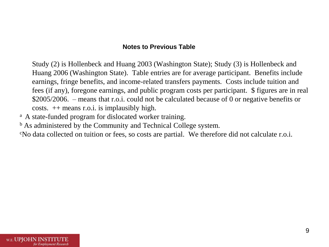#### **Notes to Previous Table**

<span id="page-9-0"></span> Huang 2006 (Washington State). Table entries are for average participant. Benefits include earnings, fringe benefits, and income-related transfers payments. Costs include tuition and fees (if any), foregone earnings, and public program costs per participant. \$ figures are in real \$2005/2006. – means that r.o.i. could not be calculated because of 0 or negative benefits or costs. ++ means r.o.i. is implausibly high. Study (2) is Hollenbeck and Huang 2003 (Washington State); Study (3) is Hollenbeck and

- <sup>a</sup> A state-funded program for dislocated worker training.
- <sup>b</sup> As administered by the Community and Technical College system.
- c No data collected on tuition or fees, so costs are partial. We therefore did not calculate r.o.i.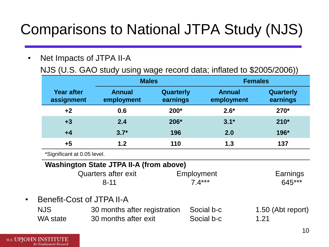## Comparisons to National JTPA Study (NJS)

 NJS (U.S. GAO study using wage record data; inflated to \$2005/2006)) • Net Impacts of JTPA II-A

|                          | <b>Males</b>                |                       | <b>Females</b>              |                       |  |
|--------------------------|-----------------------------|-----------------------|-----------------------------|-----------------------|--|
| Year after<br>assignment | <b>Annual</b><br>employment | Quarterly<br>earnings | <b>Annual</b><br>employment | Quarterly<br>earnings |  |
| $+2$                     | 0.6                         | $200*$                | $2.6*$                      | $270*$                |  |
| $+3$                     | 2.4                         | 206*                  | $3.1*$                      | $210*$                |  |
| $+4$                     | $3.7*$                      | 196                   | 2.0                         | 196*                  |  |
| $+5$                     | 1.2                         | 110                   | 1.3                         | 137                   |  |

\*Significant at 0.05 level.

### **Washington State JTPA II-A (from above)**

| Quarters after exit | Employment | Earnings |
|---------------------|------------|----------|
| $8 - 11$            | 7.4***     | 645***   |

• Benefit-Cost of JTPA II-A

| NJS.     | 30 months after registration Social b-c |            | 1.50 (Abt report) |
|----------|-----------------------------------------|------------|-------------------|
| WA state | 30 months after exit                    | Social b-c | 1.21              |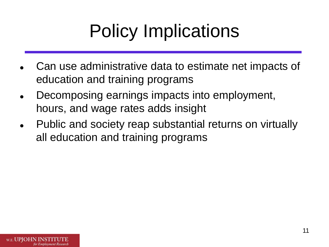# Policy Implications

- Can use administrative data to estimate net impacts of education and training programs
- Decomposing earnings impacts into employment, hours, and wage rates adds insight
- Public and society reap substantial returns on virtually all education and training programs